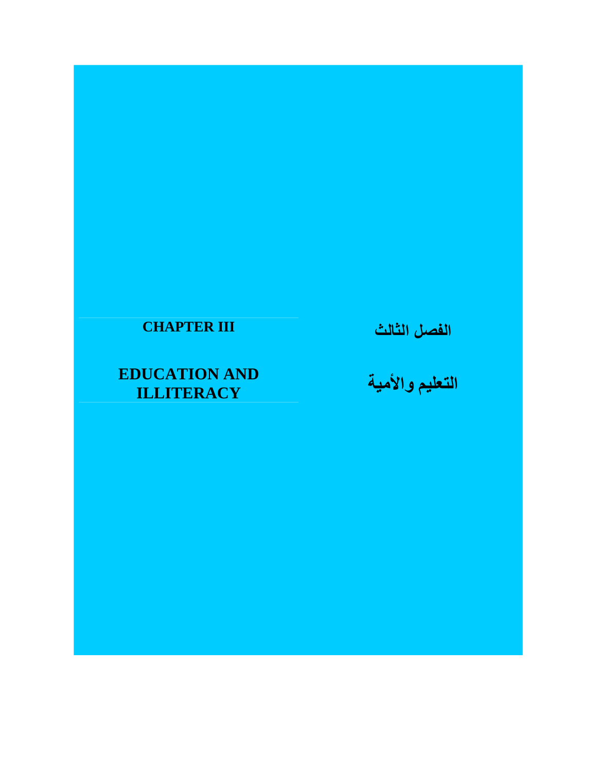## **CHAPTER III**

# **EDUCATION AND ILLITERACY**

**الفصل الثالث** 

**التعليم واألمية**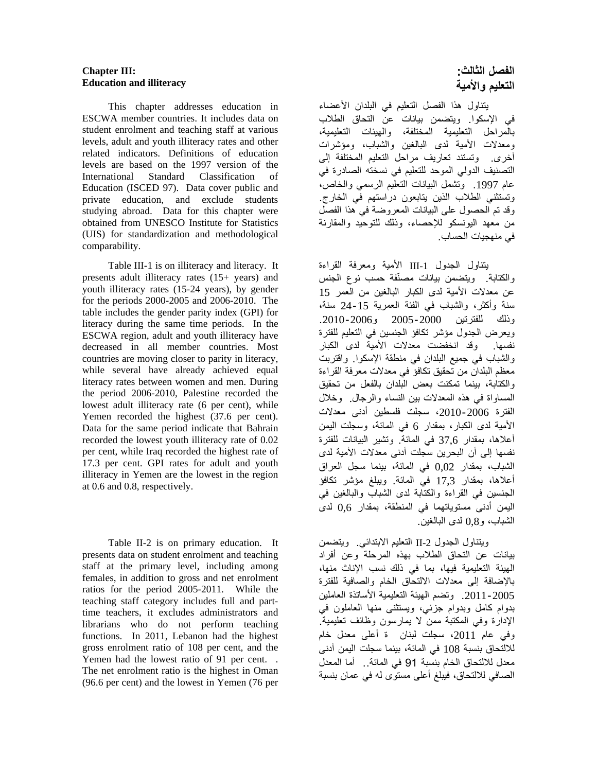#### **Chapter III: Education and illiteracy**

 This chapter addresses education in ESCWA member countries. It includes data on student enrolment and teaching staff at various levels, adult and youth illiteracy rates and other related indicators. Definitions of education levels are based on the 1997 version of the International Standard Classification of Education (ISCED 97). Data cover public and private education, and exclude students studying abroad. Data for this chapter were obtained from UNESCO Institute for Statistics (UIS) for standardization and methodological comparability.

 Table III-1 is on illiteracy and literacy. It presents adult illiteracy rates (15+ years) and youth illiteracy rates (15-24 years), by gender for the periods 2000-2005 and 2006-2010. The table includes the gender parity index (GPI) for literacy during the same time periods. In the ESCWA region, adult and youth illiteracy have decreased in all member countries. Most countries are moving closer to parity in literacy, while several have already achieved equal literacy rates between women and men. During the period 2006-2010, Palestine recorded the lowest adult illiteracy rate (6 per cent), while Yemen recorded the highest (37.6 per cent). Data for the same period indicate that Bahrain recorded the lowest youth illiteracy rate of 0.02 per cent, while Iraq recorded the highest rate of 17.3 per cent. GPI rates for adult and youth illiteracy in Yemen are the lowest in the region at 0.6 and 0.8, respectively.

Table II-2 is on primary education. It presents data on student enrolment and teaching staff at the primary level, including among females, in addition to gross and net enrolment ratios for the period 2005-2011. While the teaching staff category includes full and parttime teachers, it excludes administrators and librarians who do not perform teaching functions. In 2011, Lebanon had the highest gross enrolment ratio of 108 per cent, and the Yemen had the lowest ratio of 91 per cent. . The net enrolment ratio is the highest in Oman (96.6 per cent) and the lowest in Yemen (76 per

## **الفصل الثالث: التعليم واألمية**

 يتناول ھذا الفصل التعليم في البلدان األعضاء في اإلسكوا. ويتضمن بيانات عن التحاق الطالب بالمراحل التعليمية المختلفة، والھيئات التعليمية، ومعدالت األمية لدى البالغين والشباب، ومؤشرات أخرى. وتستند تعاريف مراحل التعليم المختلفة إلى التصنيف الدولي الموحد للتعليم في نسخته الصادرة في عام .1997 وتشمل البيانات التعليم الرسمي والخاص، وتستثني الطالب الذين يتابعون دراستھم في الخارج. وقد تم الحصول على البيانات المعروضة في ھذا الفصل من معھد اليونسكو لإلحصاء، وذلك للتوحيد والمقارنة في منھجيات الحساب.

يتناول الجدول -1III األمية ومعرفة القراءة والكتابة. ويتضمن بيانات مصّنفة حسب نوع الجنس عن معدلات الأمية لدى الكبار البالغين من العمر 15 سنة وأكثر، والشباب في الفئة العمرية 24-15 سنة، وذلك للفترتين 2005-2000 و.2010-2006 ويعرض الجدول مؤشر تكافؤ الجنسين في التعليم للفترة نفسھا. وقد انخفضت معدالت األمية لدى الكبار والشباب في جميع البلدان في منطقة اإلسكوا. واقتربت معظم البلدان من تحقيق تكافؤ في معدالت معرفة القراءة والكتابة، بينما تمكنت بعض البلدان بالفعل من تحقيق المساواة في ھذه المعدالت بين النساء والرجال. وخالل الفترة ،2010-2006 سجلت فلسطين أدنى معدالت األمية لدى الكبار، بمقدار 6 في المائة، وسجلت اليمن أعالھا، بمقدار 37,6 في المائة. وتشير البيانات للفترة نفسھا إلى أن البحرين سجلت أدنى معدالت األمية لدى الشباب، بمقدار 0,02 في المائة، بينما سجل العراق أعالھا، بمقدار 17,3 في المائة. ويبلغ مؤشر تكافؤ الجنسين في القراءة والكتابة لدى الشباب والبالغين في اليمن أدنى مستوياتھما في المنطقة، بمقدار 0,6 لدى الشباب، و0,8 لدى البالغين.

ويتناول الجدول -2II التعليم االبتدائي. ويتضمن بيانات عن التحاق الطالب بھذه المرحلة وعن أفراد الھيئة التعليمية فيھا، بما في ذلك نسب اإلناث منھا، باإلضافة إلى معدالت االلتحاق الخام والصافية للفترة .2011-2005 وتضم الھيئة التعليمية األساتذة العاملين بدوام كامل وبدوام جزئي، ويستثنى منھا العاملون في اإلدارة وفي المكتبة ممن ال يمارسون وظائف تعليمية. وفي عام 2011، سجلت لبنان ة أعلى معدل خام لاللتحاق بنسبة 108 في المائة، بينما سجلت اليمن أدنى معدل لاللتحاق الخام بنسبة 91 في المائة.. أما المعدل الصافي لاللتحاق، فيبلغ أعلى مستوى له في عمان بنسبة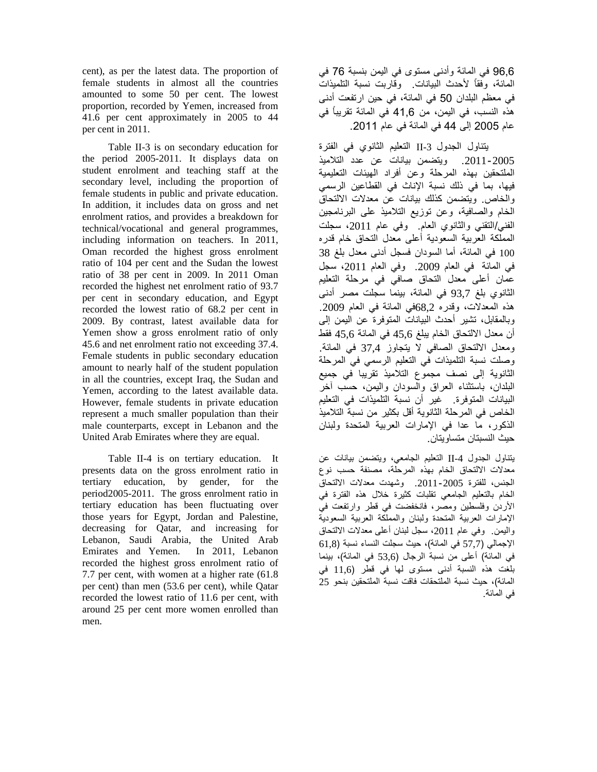cent), as per the latest data. The proportion of female students in almost all the countries amounted to some 50 per cent. The lowest proportion, recorded by Yemen, increased from 41.6 per cent approximately in 2005 to 44 per cent in 2011.

 Table II-3 is on secondary education for the period 2005-2011. It displays data on student enrolment and teaching staff at the secondary level, including the proportion of female students in public and private education. In addition, it includes data on gross and net enrolment ratios, and provides a breakdown for technical/vocational and general programmes, including information on teachers. In 2011, Oman recorded the highest gross enrolment ratio of 104 per cent and the Sudan the lowest ratio of 38 per cent in 2009. In 2011 Oman recorded the highest net enrolment ratio of 93.7 per cent in secondary education, and Egypt recorded the lowest ratio of 68.2 per cent in 2009. By contrast, latest available data for Yemen show a gross enrolment ratio of only 45.6 and net enrolment ratio not exceeding 37.4. Female students in public secondary education amount to nearly half of the student population in all the countries, except Iraq, the Sudan and Yemen, according to the latest available data. However, female students in private education represent a much smaller population than their male counterparts, except in Lebanon and the United Arab Emirates where they are equal.

 Table II-4 is on tertiary education. It presents data on the gross enrolment ratio in tertiary education, by gender, for the period2005-2011. The gross enrolment ratio in tertiary education has been fluctuating over those years for Egypt, Jordan and Palestine, decreasing for Qatar, and increasing for Lebanon, Saudi Arabia, the United Arab Emirates and Yemen. In 2011, Lebanon recorded the highest gross enrolment ratio of 7.7 per cent, with women at a higher rate (61.8 per cent) than men (53.6 per cent), while Qatar recorded the lowest ratio of 11.6 per cent, with around 25 per cent more women enrolled than men.

96,6 في المائة وأدنى مستوى في اليمن بنسبة 76 في المائة، وفقاً ألحدث البيانات. وقاربت نسبة التلميذات في معظم البلدان 50 في المائة، في حين ارتفعت أدنى ھذه النسب، في اليمن، من 41,6 في المائة تقريباً في عام 2005 إلى 44 في المائة في عام .2011

يتناول الجدول -3II التعليم الثانوي في الفترة .2011-2005 ويتضمن بيانات عن عدد التالميذ الملتحقين بھذه المرحلة وعن أفراد الھيئات التعليمية فيھا، بما في ذلك نسبة اإلناث في القطاعين الرسمي والخاص. ويتضمن كذلك بيانات عن معدالت االلتحاق الخام والصافية، وعن توزيع التالميذ على البرنامجين الفني/التقني والثانوي العام. وفي عام ،2011 سجلت المملكة العربية السعودية أعلى معدل التحاق خام قدره 100 في المائة، أما السودان فسجل أدنى معدل بلغ 38 في المائة في العام 2009. وفي العام 2011، سجل عمان أعلى معدل التحاق صافي في مرحلة التعليم الثانوي بلغ 93,7 في المائة، بينما سجلت مصر أدنى ھذه المعدالت، وقدره 68,2في المائة في العام .2009 وبالمقابل، تشير أحدث البيانات المتوفرة عن اليمن إلى أن معدل االلتحاق الخام يبلغ 45,6 في المائة 45,6 فقط ومعدل االلتحاق الصافي ال يتجاوز 37,4 في المائة. وصلت نسبة التلميذات في التعليم الرسمي في المرحلة الثانوية إلى نصف مجموع التالميذ تقريبا في جميع البلدان، باستثناء العراق والسودان واليمن، حسب آخر البيانات المتوفرة. غير أن نسبة التلميذات في التعليم الخاص في المرحلة الثانوية أقل بكثير من نسبة التالميذ الذكور، ما عدا في اإلمارات العربية المتحدة ولبنان حيث النسبتان متساويتان.

يتناول الجدول -4II التعليم الجامعي، ويتضمن بيانات عن معدالت االلتحاق الخام بھذه المرحلة، مصنفة حسب نوع الجنس، للفترة -2005 .2011 وشھدت معدالت االلتحاق الخام بالتعليم الجامعي تقلبات كثيرة خالل ھذه الفترة في األردن وفلسطين ومصر، فانخفضت في قطر وارتفعت في اإلمارات العربية المتحدة ولبنان والمملكة العربية السعودية واليمن. وفي عام 2011، سجل لبنان أعلى معدلات الالتحاق اإلجمالي (57,7 في المائة)، حيث سجلت النساء نسبة (61,8 في المائة) أعلى من نسبة الرجال (53,6 في المائة)، بينما بلغت ھذه النسبة أدنى مستوى لھا في قطر (11,6 في المائة)، حيث نسبة الملتحقات فاقت نسبة الملتحقين بنحو 25 في المائة.